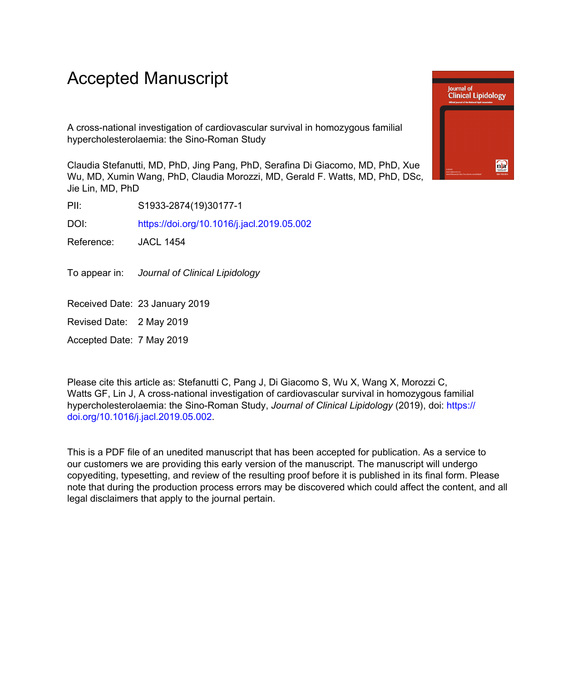# Accepted Manuscript

A cross-national investigation of cardiovascular survival in homozygous familial hypercholesterolaemia: the Sino-Roman Study

Claudia Stefanutti, MD, PhD, Jing Pang, PhD, Serafina Di Giacomo, MD, PhD, Xue Wu, MD, Xumin Wang, PhD, Claudia Morozzi, MD, Gerald F. Watts, MD, PhD, DSc, Jie Lin, MD, PhD

PII: S1933-2874(19)30177-1

DOI: <https://doi.org/10.1016/j.jacl.2019.05.002>

Reference: JACL 1454

To appear in: Journal of Clinical Lipidology

Received Date: 23 January 2019

Revised Date: 2 May 2019

Accepted Date: 7 May 2019

Please cite this article as: Stefanutti C, Pang J, Di Giacomo S, Wu X, Wang X, Morozzi C, Watts GF, Lin J, A cross-national investigation of cardiovascular survival in homozygous familial hypercholesterolaemia: the Sino-Roman Study, *Journal of Clinical Lipidology* (2019), doi: [https://](https://doi.org/10.1016/j.jacl.2019.05.002) [doi.org/10.1016/j.jacl.2019.05.002.](https://doi.org/10.1016/j.jacl.2019.05.002)

This is a PDF file of an unedited manuscript that has been accepted for publication. As a service to our customers we are providing this early version of the manuscript. The manuscript will undergo copyediting, typesetting, and review of the resulting proof before it is published in its final form. Please note that during the production process errors may be discovered which could affect the content, and all legal disclaimers that apply to the journal pertain.

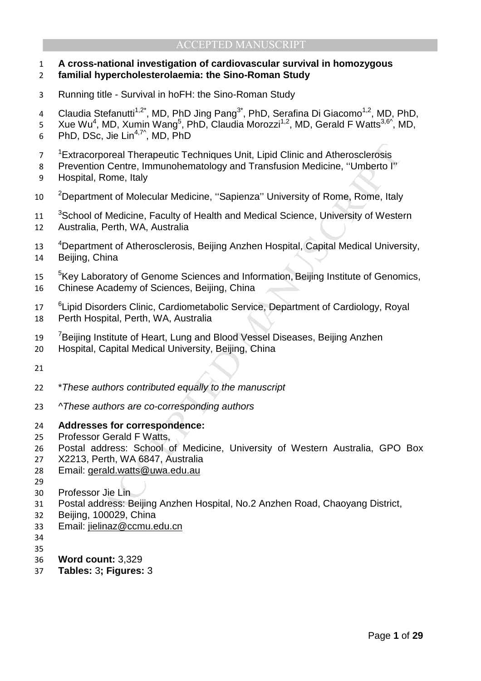#### **A cross-national investigation of cardiovascular survival in homozygous familial hypercholesterolaemia: the Sino-Roman Study**

- Running title Survival in hoFH: the Sino-Roman Study
- 4 Claudia Stefanutti<sup>1,2\*</sup>, MD, PhD Jing Pang<sup>3\*</sup>, PhD, Serafina Di Giacomo<sup>1,2</sup>, MD, PhD,
- 5 Xue Wu<sup>4</sup>, MD, Xumin Wang<sup>5</sup>, PhD, Claudia Morozzi<sup>1,2</sup>, MD, Gerald F Watts<sup>3,6^</sup>, MD, 6 PhD, DSc, Jie Lin<sup>4,7 $\textdegree$ , MD, PhD</sup>
- <sup>1</sup> Extracorporeal Therapeutic Techniques Unit, Lipid Clinic and Atherosclerosis
- Prevention Centre, Immunohematology and Transfusion Medicine, ''Umberto I''
- Hospital, Rome, Italy
- 10 <sup>2</sup>Department of Molecular Medicine, "Sapienza" University of Rome, Rome, Italy
- ooreal Therapeutic Techniques Unit, Lipid Clinic and Atherosclerosis<br>n Centre, Immunohematology and Transfusion Medicine, "Umberto I"<br>Rome, Italy<br>ent of Molecular Medicine, "Sapienza" University of Rome, Rome, Italy<br>Medici 11 <sup>3</sup> School of Medicine, Faculty of Health and Medical Science, University of Western Australia, Perth, WA, Australia
- 13 <sup>4</sup>Department of Atherosclerosis, Beijing Anzhen Hospital, Capital Medical University, Beijing, China
- <sup>5</sup>Key Laboratory of Genome Sciences and Information, Beijing Institute of Genomics, Chinese Academy of Sciences, Beijing, China
- <sup>6</sup> Lipid Disorders Clinic, Cardiometabolic Service, Department of Cardiology, Royal
- Perth Hospital, Perth, WA, Australia
- <sup>7</sup> Beijing Institute of Heart, Lung and Blood Vessel Diseases, Beijing Anzhen
- Hospital, Capital Medical University, Beijing, China
- 
- \*These authors contributed equally to the manuscript
- 23 ^These authors are co-corresponding authors
- **Addresses for correspondence:**
- Professor Gerald F Watts,
- Postal address: School of Medicine, University of Western Australia, GPO Box
- X2213, Perth, WA 6847, Australia
- Email: gerald.watts@uwa.edu.au
- 
- Professor Jie Lin
- Postal address: Beijing Anzhen Hospital, No.2 Anzhen Road, Chaoyang District,
- Beijing, 100029, China
- Email: jielinaz@ccmu.edu.cn
- 
- 
- **Word count:** 3,329
- **Tables:** 3**; Figures:** 3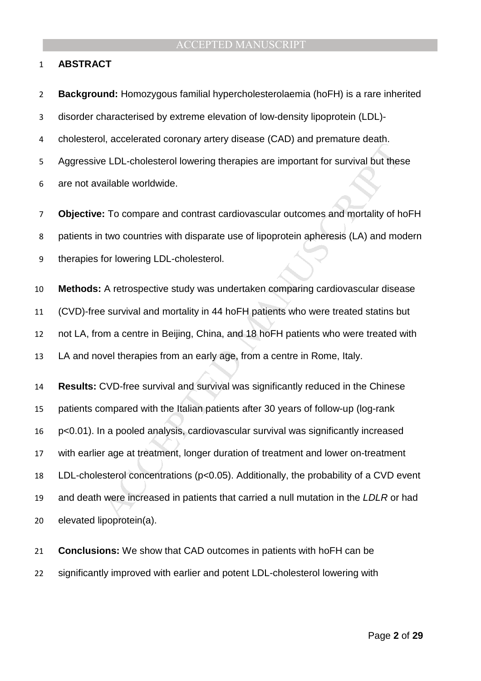#### **ABSTRACT**

or ELDL-cholesterol lowering therapies are important for survival but the<br>e LDL-cholesterol lowering therapies are important for survival but the<br>vailable worldwide.<br>B: To compare and contrast cardiovascular outcomes and **Background:** Homozygous familial hypercholesterolaemia (hoFH) is a rare inherited disorder characterised by extreme elevation of low-density lipoprotein (LDL)- cholesterol, accelerated coronary artery disease (CAD) and premature death. Aggressive LDL-cholesterol lowering therapies are important for survival but these are not available worldwide. **Objective:** To compare and contrast cardiovascular outcomes and mortality of hoFH patients in two countries with disparate use of lipoprotein apheresis (LA) and modern therapies for lowering LDL-cholesterol. **Methods:** A retrospective study was undertaken comparing cardiovascular disease (CVD)-free survival and mortality in 44 hoFH patients who were treated statins but not LA, from a centre in Beijing, China, and 18 hoFH patients who were treated with LA and novel therapies from an early age, from a centre in Rome, Italy. **Results:** CVD-free survival and survival was significantly reduced in the Chinese patients compared with the Italian patients after 30 years of follow-up (log-rank p<0.01). In a pooled analysis, cardiovascular survival was significantly increased with earlier age at treatment, longer duration of treatment and lower on-treatment LDL-cholesterol concentrations (p<0.05). Additionally, the probability of a CVD event 19 and death were increased in patients that carried a null mutation in the LDLR or had elevated lipoprotein(a).

**Conclusions:** We show that CAD outcomes in patients with hoFH can be significantly improved with earlier and potent LDL-cholesterol lowering with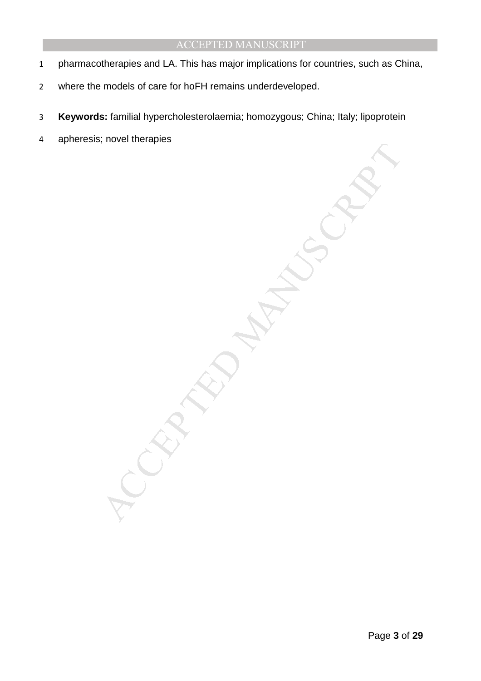- 1 pharmacotherapies and LA. This has major implications for countries, such as China,
- 2 where the models of care for hoFH remains underdeveloped.
- 3 **Keywords:** familial hypercholesterolaemia; homozygous; China; Italy; lipoprotein
- 4 apheresis; novel therapies

MANUSCRIPT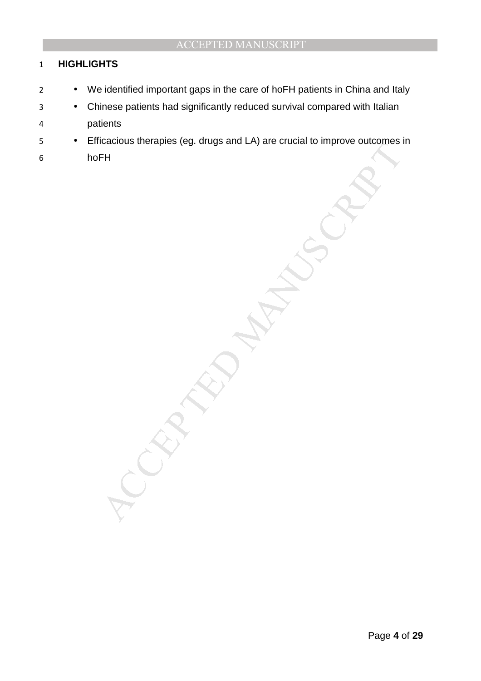## **HIGHLIGHTS**

- We identified important gaps in the care of hoFH patients in China and Italy
- Chinese patients had significantly reduced survival compared with Italian patients
- Efficacious therapies (eg. drugs and LA) are crucial to improve outcomes in
- hoFH

MANUSCRIPT ACCEPTED ACCEPTED ACCEPTED ACCEPTED ACCEPTED ACCEPTED ACCEPTED ACCEPTED ACCEPTED ACCEPTED ACCEPTED ACCEPTED ACCEPTED ACCEPTED ACCEPTED ACCEPTED ACCEPTED ACCEPTED ACCEPTED ACCEPTED ACCEPTED ACCEPTED ACCEPTED ACCE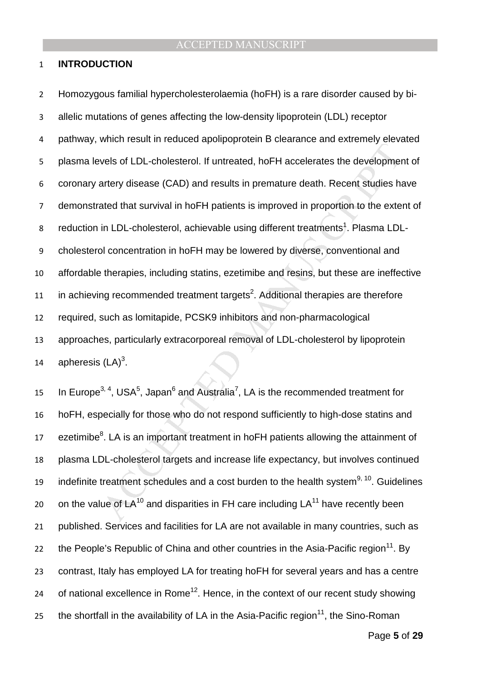#### 1 **INTRODUCTION**

mentreparts of LDL-cholesterol. If untreated, hoFH accelerates the developmentery disease (CAD) and results in premature death. Recent studies hated that survival in hoFH patients is improved in proportion to the external Homozygous familial hypercholesterolaemia (hoFH) is a rare disorder caused by bi-allelic mutations of genes affecting the low-density lipoprotein (LDL) receptor pathway, which result in reduced apolipoprotein B clearance and extremely elevated plasma levels of LDL-cholesterol. If untreated, hoFH accelerates the development of coronary artery disease (CAD) and results in premature death. Recent studies have demonstrated that survival in hoFH patients is improved in proportion to the extent of 8 reduction in LDL-cholesterol, achievable using different treatments<sup>1</sup>. Plasma LDL-cholesterol concentration in hoFH may be lowered by diverse, conventional and affordable therapies, including statins, ezetimibe and resins, but these are ineffective 11 in achieving recommended treatment targets<sup>2</sup>. Additional therapies are therefore required, such as lomitapide, PCSK9 inhibitors and non-pharmacological approaches, particularly extracorporeal removal of LDL-cholesterol by lipoprotein 14 apheresis  $(LA)^3$ .

15 In Europe<sup>3, 4</sup>, USA<sup>5</sup>, Japan<sup>6</sup> and Australia<sup>7</sup>, LA is the recommended treatment for 16 hoFH, especially for those who do not respond sufficiently to high-dose statins and 17 ezetimibe ${}^{8}$ . LA is an important treatment in hoFH patients allowing the attainment of 18 plasma LDL-cholesterol targets and increase life expectancy, but involves continued is indefinite treatment schedules and a cost burden to the health system<sup>9, 10</sup>. Guidelines 20 on the value of  $LA^{10}$  and disparities in FH care including  $LA^{11}$  have recently been 21 published. Services and facilities for LA are not available in many countries, such as 22 the People's Republic of China and other countries in the Asia-Pacific region<sup>11</sup>. By 23 contrast, Italy has employed LA for treating hoFH for several years and has a centre 24 of national excellence in Rome<sup>12</sup>. Hence, in the context of our recent study showing the shortfall in the availability of LA in the Asia-Pacific region<sup>11</sup>, the Sino-Roman

Page **5** of **29**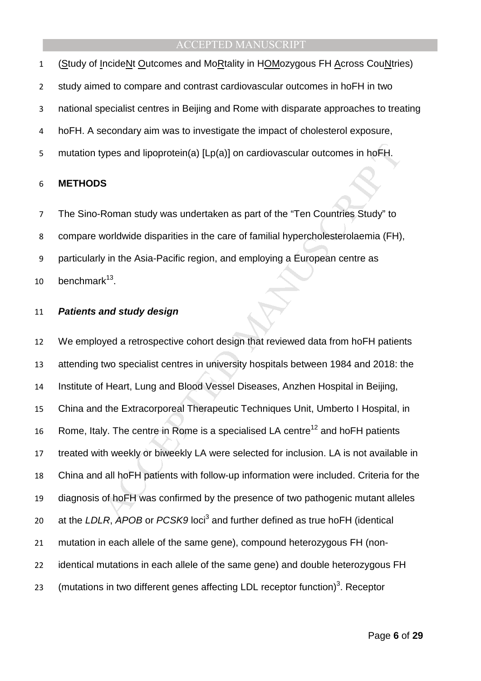(Study of IncideNt Outcomes and MoRtality in HOMozygous FH Across CouNtries)

study aimed to compare and contrast cardiovascular outcomes in hoFH in two

national specialist centres in Beijing and Rome with disparate approaches to treating

- hoFH. A secondary aim was to investigate the impact of cholesterol exposure,
- 5 mutation types and lipoprotein(a) [Lp(a)] on cardiovascular outcomes in hoFH.

#### **METHODS**

The Sino-Roman study was undertaken as part of the "Ten Countries Study" to compare worldwide disparities in the care of familial hypercholesterolaemia (FH), particularly in the Asia-Pacific region, and employing a European centre as 10 benchmark.

#### **Patients and study design**

types and lipoprotein(a) [Lp(a)] on cardiovascular outcomes in hoFH.<br>
S<br>
S<br>
Noman study was undertaken as part of the "Ten Countries Study" to<br>
worldwide disparities in the care of familial hypercholesterolaemia (FH)<br>
y in We employed a retrospective cohort design that reviewed data from hoFH patients attending two specialist centres in university hospitals between 1984 and 2018: the Institute of Heart, Lung and Blood Vessel Diseases, Anzhen Hospital in Beijing, China and the Extracorporeal Therapeutic Techniques Unit, Umberto I Hospital, in 16 Rome, Italy. The centre in Rome is a specialised LA centre<sup>12</sup> and hoFH patients treated with weekly or biweekly LA were selected for inclusion. LA is not available in China and all hoFH patients with follow-up information were included. Criteria for the diagnosis of hoFH was confirmed by the presence of two pathogenic mutant alleles 20 at the LDLR, APOB or PCSK9 loci<sup>3</sup> and further defined as true hoFH (identical mutation in each allele of the same gene), compound heterozygous FH (non-identical mutations in each allele of the same gene) and double heterozygous FH 23 (mutations in two different genes affecting LDL receptor function)<sup>3</sup>. Receptor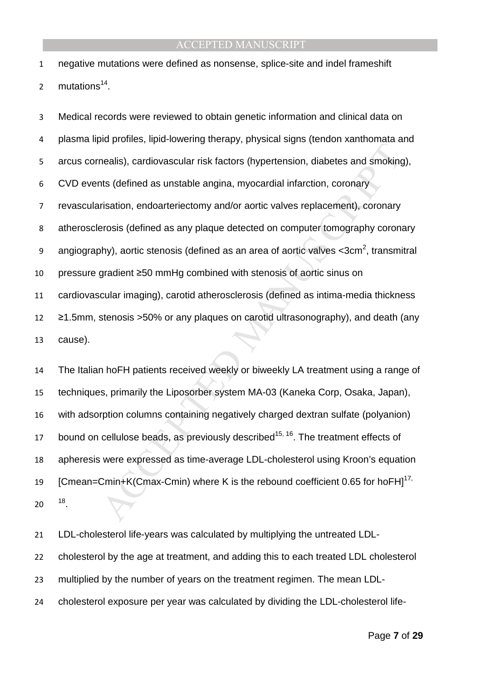negative mutations were defined as nonsense, splice-site and indel frameshift 2  $mutations<sup>14</sup>$ .

Experimentation and sincerpt in the stationary and the relation and smoking<br>the prediction control as unstable angina, myocardial infarction, coronary<br>risation, endoarteriectomy and/or aortic valves replacement), coronary<br> Medical records were reviewed to obtain genetic information and clinical data on plasma lipid profiles, lipid-lowering therapy, physical signs (tendon xanthomata and arcus cornealis), cardiovascular risk factors (hypertension, diabetes and smoking), CVD events (defined as unstable angina, myocardial infarction, coronary revascularisation, endoarteriectomy and/or aortic valves replacement), coronary atherosclerosis (defined as any plaque detected on computer tomography coronary 9 angiography), aortic stenosis (defined as an area of aortic valves <3cm<sup>2</sup>, transmitral pressure gradient ≥50 mmHg combined with stenosis of aortic sinus on cardiovascular imaging), carotid atherosclerosis (defined as intima-media thickness ≥1.5mm, stenosis >50% or any plaques on carotid ultrasonography), and death (any cause).

The Italian hoFH patients received weekly or biweekly LA treatment using a range of techniques, primarily the Liposorber system MA-03 (Kaneka Corp, Osaka, Japan), with adsorption columns containing negatively charged dextran sulfate (polyanion) 17 bound on cellulose beads, as previously described<sup>15, 16</sup>. The treatment effects of apheresis were expressed as time-average LDL-cholesterol using Kroon's equation 19 [Cmean=Cmin+K(Cmax-Cmin) where K is the rebound coefficient 0.65 for hoFH]<sup>17,</sup>  $20 \frac{18}{1}$ .

LDL-cholesterol life-years was calculated by multiplying the untreated LDL-cholesterol by the age at treatment, and adding this to each treated LDL cholesterol multiplied by the number of years on the treatment regimen. The mean LDL-cholesterol exposure per year was calculated by dividing the LDL-cholesterol life-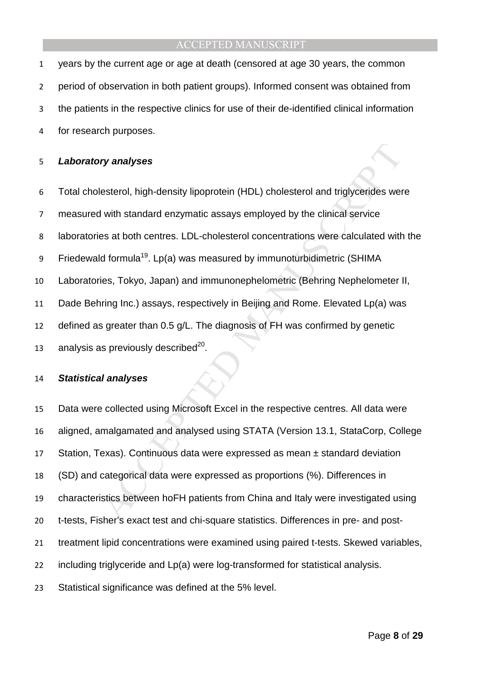years by the current age or age at death (censored at age 30 years, the common period of observation in both patient groups). Informed consent was obtained from the patients in the respective clinics for use of their de-identified clinical information for research purposes.

#### **Laboratory analyses**

- Total cholesterol, high-density lipoprotein (HDL) cholesterol and triglycerides were
- measured with standard enzymatic assays employed by the clinical service
- laboratories at both centres. LDL-cholesterol concentrations were calculated with the
- 9 Friedewald formula<sup>19</sup>. Lp(a) was measured by immunoturbidimetric (SHIMA
- Laboratories, Tokyo, Japan) and immunonephelometric (Behring Nephelometer II,
- Dade Behring Inc.) assays, respectively in Beijing and Rome. Elevated Lp(a) was
- defined as greater than 0.5 g/L. The diagnosis of FH was confirmed by genetic
- 13 analysis as previously described $^{20}$ .

#### **Statistical analyses**

**ry analyses**<br>esterol, high-density lipoprotein (HDL) cholesterol and triglycerides were<br>set with standard enzymatic assays employed by the clinical service<br>es at both centres. LDL-cholesterol concentrations were calculate Data were collected using Microsoft Excel in the respective centres. All data were aligned, amalgamated and analysed using STATA (Version 13.1, StataCorp, College Station, Texas). Continuous data were expressed as mean ± standard deviation (SD) and categorical data were expressed as proportions (%). Differences in characteristics between hoFH patients from China and Italy were investigated using t-tests, Fisher's exact test and chi-square statistics. Differences in pre- and post-treatment lipid concentrations were examined using paired t-tests. Skewed variables, including triglyceride and Lp(a) were log-transformed for statistical analysis. Statistical significance was defined at the 5% level.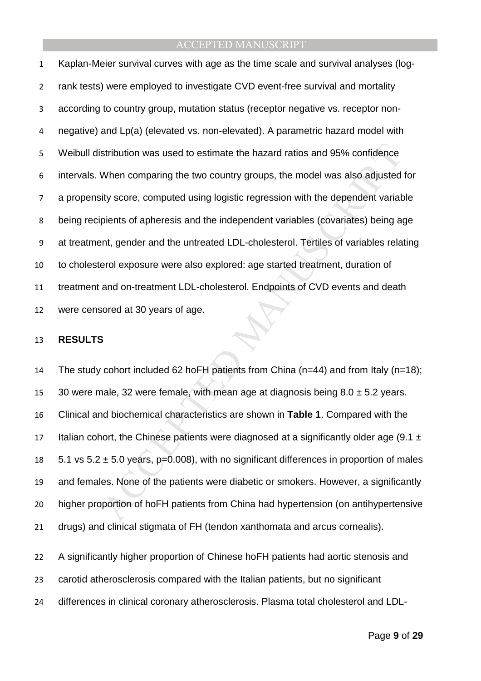stribution was used to estimate the hazard ratios and 95% confidence<br>When comparing the two country groups, the model was also adjusted<br>ity score, computed using logistic regression with the dependent variat<br>pients of aphe Kaplan-Meier survival curves with age as the time scale and survival analyses (log-rank tests) were employed to investigate CVD event-free survival and mortality according to country group, mutation status (receptor negative vs. receptor non-negative) and Lp(a) (elevated vs. non-elevated). A parametric hazard model with Weibull distribution was used to estimate the hazard ratios and 95% confidence intervals. When comparing the two country groups, the model was also adjusted for a propensity score, computed using logistic regression with the dependent variable being recipients of apheresis and the independent variables (covariates) being age at treatment, gender and the untreated LDL-cholesterol. Tertiles of variables relating to cholesterol exposure were also explored: age started treatment, duration of treatment and on-treatment LDL-cholesterol. Endpoints of CVD events and death were censored at 30 years of age.

#### **RESULTS**

The study cohort included 62 hoFH patients from China (n=44) and from Italy (n=18); 15 30 were male, 32 were female, with mean age at diagnosis being  $8.0 \pm 5.2$  years. Clinical and biochemical characteristics are shown in **Table 1**. Compared with the 17 Italian cohort, the Chinese patients were diagnosed at a significantly older age (9.1  $\pm$  $5.1$  vs  $5.2 \pm 5.0$  years, p=0.008), with no significant differences in proportion of males and females. None of the patients were diabetic or smokers. However, a significantly higher proportion of hoFH patients from China had hypertension (on antihypertensive drugs) and clinical stigmata of FH (tendon xanthomata and arcus cornealis).

A significantly higher proportion of Chinese hoFH patients had aortic stenosis and carotid atherosclerosis compared with the Italian patients, but no significant differences in clinical coronary atherosclerosis. Plasma total cholesterol and LDL-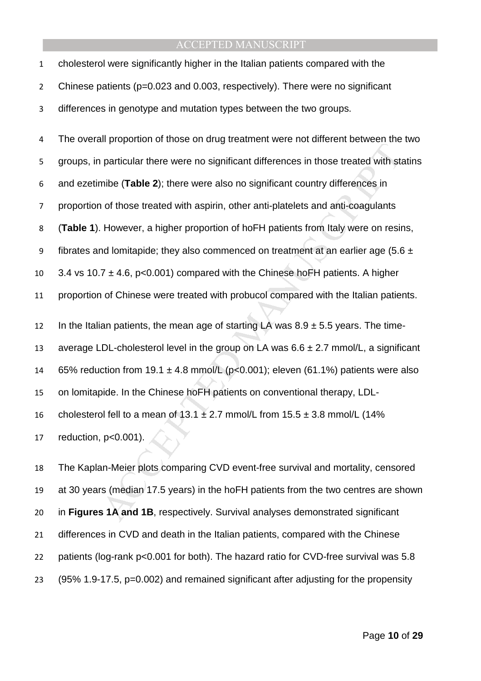| $\mathbf{1}$   | cholesterol were significantly higher in the Italian patients compared with the           |
|----------------|-------------------------------------------------------------------------------------------|
| $\overline{2}$ | Chinese patients (p=0.023 and 0.003, respectively). There were no significant             |
| 3              | differences in genotype and mutation types between the two groups.                        |
| 4              | The overall proportion of those on drug treatment were not different between the two      |
| 5              | groups, in particular there were no significant differences in those treated with statins |
| 6              | and ezetimibe (Table 2); there were also no significant country differences in            |
| $\overline{7}$ | proportion of those treated with aspirin, other anti-platelets and anti-coagulants        |
| 8              | (Table 1). However, a higher proportion of hoFH patients from Italy were on resins,       |
| 9              | fibrates and lomitapide; they also commenced on treatment at an earlier age (5.6 $\pm$    |
| 10             | 3.4 vs 10.7 $\pm$ 4.6, p<0.001) compared with the Chinese hoFH patients. A higher         |
| 11             | proportion of Chinese were treated with probucol compared with the Italian patients.      |
| 12             | In the Italian patients, the mean age of starting LA was $8.9 \pm 5.5$ years. The time-   |
| 13             | average LDL-cholesterol level in the group on LA was $6.6 \pm 2.7$ mmol/L, a significant  |
| 14             | 65% reduction from 19.1 $\pm$ 4.8 mmol/L (p<0.001); eleven (61.1%) patients were also     |
| 15             | on lomitapide. In the Chinese hoFH patients on conventional therapy, LDL-                 |
| 16             | cholesterol fell to a mean of 13.1 $\pm$ 2.7 mmol/L from 15.5 $\pm$ 3.8 mmol/L (14%       |
| 17             | reduction, p<0.001).                                                                      |
| 18             | The Kaplan-Meier plots comparing CVD event-free survival and mortality, censored          |
| 19             | at 30 years (median 17.5 years) in the hoFH patients from the two centres are shown       |
| 20             | in Figures 1A and 1B, respectively. Survival analyses demonstrated significant            |

The Kaplan-Meier plots comparing CVD event-free survival and mortality, censored at 30 years (median 17.5 years) in the hoFH patients from the two centres are shown in **Figures 1A and 1B**, respectively. Survival analyses demonstrated significant differences in CVD and death in the Italian patients, compared with the Chinese patients (log-rank p<0.001 for both). The hazard ratio for CVD-free survival was 5.8 (95% 1.9-17.5, p=0.002) and remained significant after adjusting for the propensity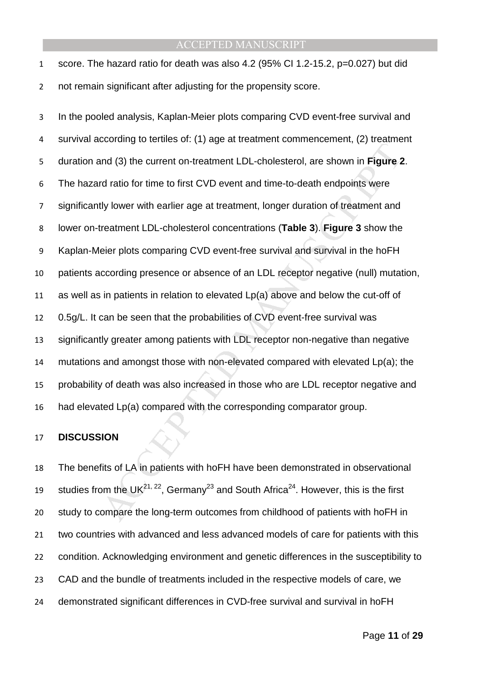| 1           | score. The hazard ratio for death was also 4.2 (95% CI 1.2-15.2, p=0.027) but did |
|-------------|-----------------------------------------------------------------------------------|
| $2^{\circ}$ | not remain significant after adjusting for the propensity score.                  |

Let the form of the form of the comes of the comes from childhood of patients of the UpAce of the comes from the form of the form of the form of the comparison of treatment LDL-cholesterol, are shown in Figure 2 at draine In the pooled analysis, Kaplan-Meier plots comparing CVD event-free survival and survival according to tertiles of: (1) age at treatment commencement, (2) treatment duration and (3) the current on-treatment LDL-cholesterol, are shown in **Figure 2**. The hazard ratio for time to first CVD event and time-to-death endpoints were significantly lower with earlier age at treatment, longer duration of treatment and lower on-treatment LDL-cholesterol concentrations (**Table 3**). **Figure 3** show the Kaplan-Meier plots comparing CVD event-free survival and survival in the hoFH patients according presence or absence of an LDL receptor negative (null) mutation, as well as in patients in relation to elevated Lp(a) above and below the cut-off of 0.5g/L. It can be seen that the probabilities of CVD event-free survival was significantly greater among patients with LDL receptor non-negative than negative mutations and amongst those with non-elevated compared with elevated Lp(a); the probability of death was also increased in those who are LDL receptor negative and had elevated Lp(a) compared with the corresponding comparator group.

#### **DISCUSSION**

The benefits of LA in patients with hoFH have been demonstrated in observational 19 studies from the UK<sup>21, 22</sup>, Germany<sup>23</sup> and South Africa<sup>24</sup>. However, this is the first study to compare the long-term outcomes from childhood of patients with hoFH in two countries with advanced and less advanced models of care for patients with this condition. Acknowledging environment and genetic differences in the susceptibility to CAD and the bundle of treatments included in the respective models of care, we demonstrated significant differences in CVD-free survival and survival in hoFH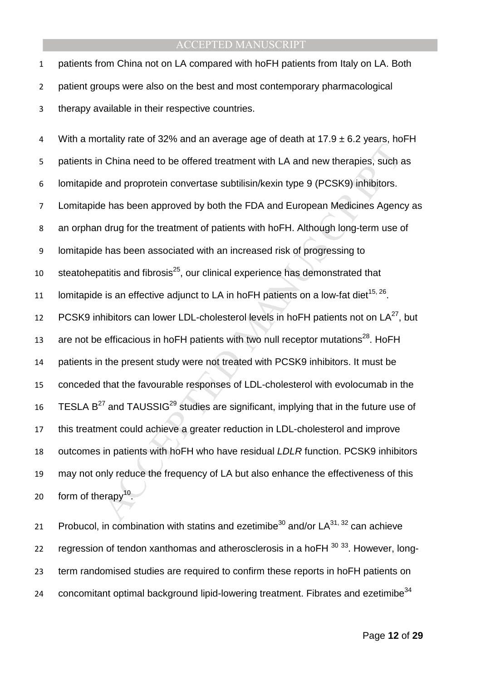1 patients from China not on LA compared with hoFH patients from Italy on LA. Both 2 patient groups were also on the best and most contemporary pharmacological 3 therapy available in their respective countries.

Manuscript and the offered treatment with LA and new therapies, such a<br>
and proprotein convertase subtilisin/kexin type 9 (PCSK9) inhibitors.<br>
Le has been approved by both the FDA and European Medicines Agenc<br>
are and pro 4 With a mortality rate of 32% and an average age of death at  $17.9 \pm 6.2$  years, ho FH 5 patients in China need to be offered treatment with LA and new therapies, such as 6 lomitapide and proprotein convertase subtilisin/kexin type 9 (PCSK9) inhibitors. 7 Lomitapide has been approved by both the FDA and European Medicines Agency as 8 an orphan drug for the treatment of patients with hoFH. Although long-term use of 9 lomitapide has been associated with an increased risk of progressing to steatohepatitis and fibrosis $^{25}$ , our clinical experience has demonstrated that 11 Iomitapide is an effective adjunct to LA in hoFH patients on a low-fat diet<sup>15, 26</sup>. 12 PCSK9 inhibitors can lower LDL-cholesterol levels in hoFH patients not on  $LA^{27}$ , but are not be efficacious in hoFH patients with two null receptor mutations $^{28}$ . HoFH 14 patients in the present study were not treated with PCSK9 inhibitors. It must be 15 conceded that the favourable responses of LDL-cholesterol with evolocumab in the 16 TESLA  $B^{27}$  and TAUSSIG<sup>29</sup> studies are significant, implying that in the future use of 17 this treatment could achieve a greater reduction in LDL-cholesterol and improve 18 outcomes in patients with hoFH who have residual LDLR function. PCSK9 inhibitors 19 may not only reduce the frequency of LA but also enhance the effectiveness of this 20 form of therapy<sup>10</sup>.

21 Probucol, in combination with statins and ezetimibe<sup>30</sup> and/or  $LA^{31, 32}$  can achieve 22 regression of tendon xanthomas and atherosclerosis in a hoFH  $^{30}$   $^{33}$ . However, long-23 term randomised studies are required to confirm these reports in hoFH patients on concomitant optimal background lipid-lowering treatment. Fibrates and ezetimibe $34$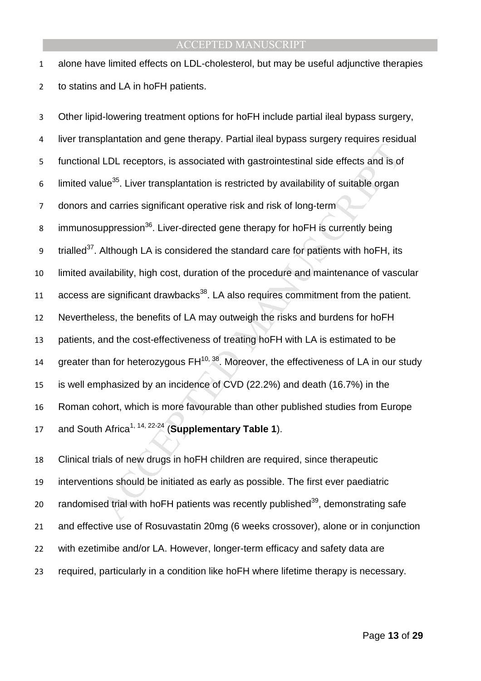alone have limited effects on LDL-cholesterol, but may be useful adjunctive therapies to statins and LA in hoFH patients.

Function and gains interpret that are syncentries of the state of the line of the line of the line of the procedure of the line of the line of the procedure is significant operative risk and risk of long-term<br>uppression<sup>3</sup> Other lipid-lowering treatment options for hoFH include partial ileal bypass surgery, liver transplantation and gene therapy. Partial ileal bypass surgery requires residual functional LDL receptors, is associated with gastrointestinal side effects and is of 6 limited value<sup>35</sup>. Liver transplantation is restricted by availability of suitable organ donors and carries significant operative risk and risk of long-term 8 immunosuppression<sup>36</sup>. Liver-directed gene therapy for hoFH is currently being 9 trialled<sup>37</sup>. Although LA is considered the standard care for patients with hoFH, its limited availability, high cost, duration of the procedure and maintenance of vascular access are significant drawbacks<sup>38</sup>. LA also requires commitment from the patient. Nevertheless, the benefits of LA may outweigh the risks and burdens for hoFH patients, and the cost-effectiveness of treating hoFH with LA is estimated to be 14 greater than for heterozygous  $FH^{10, 38}$ . Moreover, the effectiveness of LA in our study is well emphasized by an incidence of CVD (22.2%) and death (16.7%) in the Roman cohort, which is more favourable than other published studies from Europe 17 and South Africa<sup>1, 14, 22-24</sup> (**Supplementary Table 1**).

Clinical trials of new drugs in hoFH children are required, since therapeutic interventions should be initiated as early as possible. The first ever paediatric 20 randomised trial with hoFH patients was recently published<sup>39</sup>, demonstrating safe and effective use of Rosuvastatin 20mg (6 weeks crossover), alone or in conjunction with ezetimibe and/or LA. However, longer-term efficacy and safety data are required, particularly in a condition like hoFH where lifetime therapy is necessary.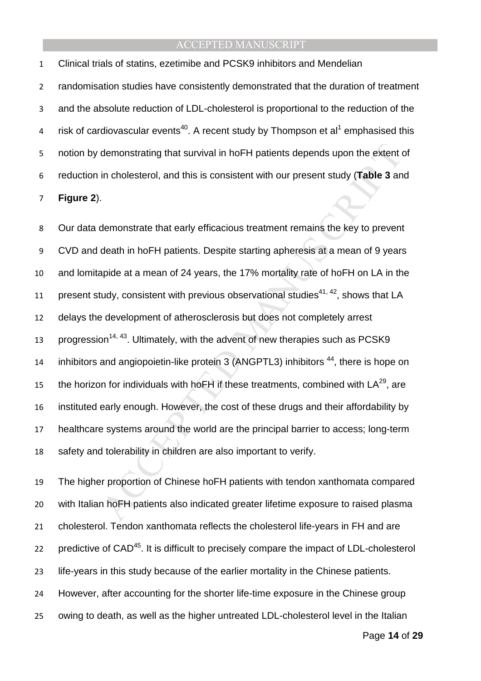Clinical trials of statins, ezetimibe and PCSK9 inhibitors and Mendelian randomisation studies have consistently demonstrated that the duration of treatment and the absolute reduction of LDL-cholesterol is proportional to the reduction of the 4 risk of cardiovascular events<sup>40</sup>. A recent study by Thompson et al<sup>1</sup> emphasised this notion by demonstrating that survival in hoFH patients depends upon the extent of reduction in cholesterol, and this is consistent with our present study (**Table 3** and **Figure 2**).

demonstrating that survival in hoFH patients depends upon the extent in cholesterol, and this is consistent with our present study (**Table 3** an .<br>
.<br>
.<br>
.<br>
demonstrate that early efficacious treatment remains the key to p Our data demonstrate that early efficacious treatment remains the key to prevent CVD and death in hoFH patients. Despite starting apheresis at a mean of 9 years and lomitapide at a mean of 24 years, the 17% mortality rate of hoFH on LA in the 11 present study, consistent with previous observational studies<sup>41, 42</sup>, shows that LA delays the development of atherosclerosis but does not completely arrest 13 progression<sup>14, 43</sup>. Ultimately, with the advent of new therapies such as PCSK9 inhibitors and angiopoietin-like protein 3 (ANGPTL3) inhibitors <sup>44</sup>, there is hope on the horizon for individuals with hoFH if these treatments, combined with  $LA^{29}$ , are instituted early enough. However, the cost of these drugs and their affordability by healthcare systems around the world are the principal barrier to access; long-term safety and tolerability in children are also important to verify.

The higher proportion of Chinese hoFH patients with tendon xanthomata compared with Italian hoFH patients also indicated greater lifetime exposure to raised plasma cholesterol. Tendon xanthomata reflects the cholesterol life-years in FH and are 22 predictive of CAD<sup>45</sup>. It is difficult to precisely compare the impact of LDL-cholesterol life-years in this study because of the earlier mortality in the Chinese patients. However, after accounting for the shorter life-time exposure in the Chinese group owing to death, as well as the higher untreated LDL-cholesterol level in the Italian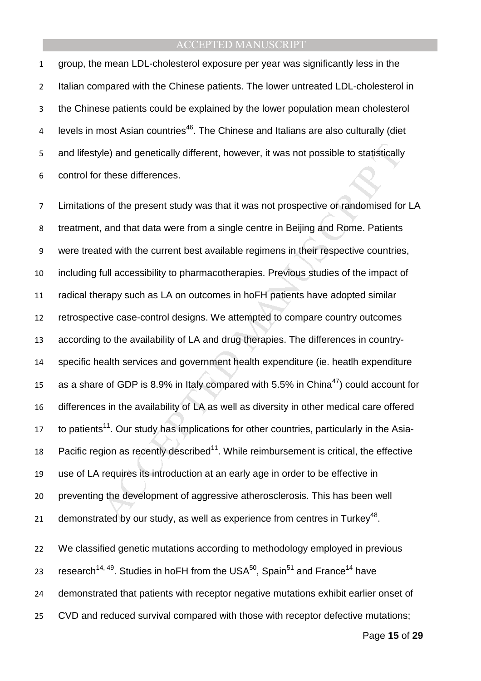group, the mean LDL-cholesterol exposure per year was significantly less in the Italian compared with the Chinese patients. The lower untreated LDL-cholesterol in the Chinese patients could be explained by the lower population mean cholesterol 4 levels in most Asian countries<sup>46</sup>. The Chinese and Italians are also culturally (diet and lifestyle) and genetically different, however, it was not possible to statistically control for these differences.

Me) and genetically different, however, it was not possible to statistically<br>
these differences.<br>
s of the present study was that it was not prospective or randomised fo<br>
and that data were from a single centre in Beijing Limitations of the present study was that it was not prospective or randomised for LA treatment, and that data were from a single centre in Beijing and Rome. Patients were treated with the current best available regimens in their respective countries, including full accessibility to pharmacotherapies. Previous studies of the impact of radical therapy such as LA on outcomes in hoFH patients have adopted similar retrospective case-control designs. We attempted to compare country outcomes according to the availability of LA and drug therapies. The differences in country-specific health services and government health expenditure (ie. heatlh expenditure 15 as a share of GDP is 8.9% in Italy compared with 5.5% in China<sup>47</sup>) could account for differences in the availability of LA as well as diversity in other medical care offered to patients<sup>11</sup>. Our study has implications for other countries, particularly in the Asia-18 Pacific region as recently described<sup>11</sup>. While reimbursement is critical, the effective use of LA requires its introduction at an early age in order to be effective in preventing the development of aggressive atherosclerosis. This has been well 21 demonstrated by our study, as well as experience from centres in Turkey<sup>48</sup>.

We classified genetic mutations according to methodology employed in previous 23 research<sup>14, 49</sup>. Studies in hoFH from the USA<sup>50</sup>, Spain<sup>51</sup> and France<sup>14</sup> have demonstrated that patients with receptor negative mutations exhibit earlier onset of CVD and reduced survival compared with those with receptor defective mutations;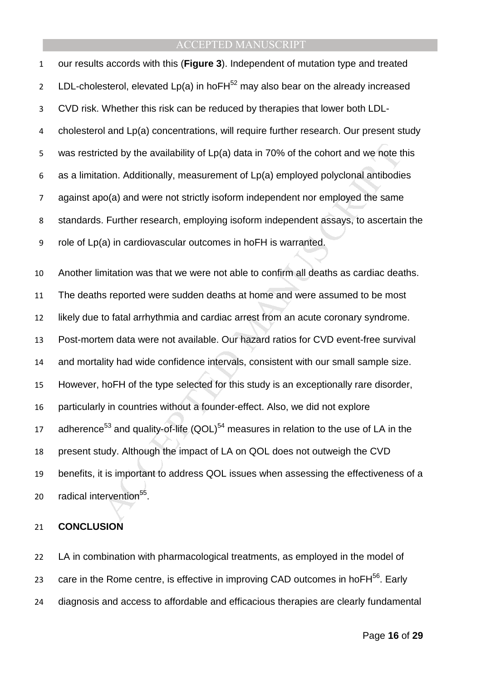cted by the availability of Lp(a) data in 70% of the cohort and we note the<br>tion. Additionally, measurement of Lp(a) employed polyclonal antibodie<br>oo(a) and were not strictly isoform independent nor employed the same.<br>Furt our results accords with this (**Figure 3**). Independent of mutation type and treated 2 LDL-cholesterol, elevated  $Lp(a)$  in hoFH<sup>52</sup> may also bear on the already increased CVD risk. Whether this risk can be reduced by therapies that lower both LDL-cholesterol and Lp(a) concentrations, will require further research. Our present study was restricted by the availability of Lp(a) data in 70% of the cohort and we note this as a limitation. Additionally, measurement of Lp(a) employed polyclonal antibodies against apo(a) and were not strictly isoform independent nor employed the same standards. Further research, employing isoform independent assays, to ascertain the role of Lp(a) in cardiovascular outcomes in hoFH is warranted. Another limitation was that we were not able to confirm all deaths as cardiac deaths. The deaths reported were sudden deaths at home and were assumed to be most likely due to fatal arrhythmia and cardiac arrest from an acute coronary syndrome. Post-mortem data were not available. Our hazard ratios for CVD event-free survival and mortality had wide confidence intervals, consistent with our small sample size. However, hoFH of the type selected for this study is an exceptionally rare disorder, particularly in countries without a founder-effect. Also, we did not explore 17 adherence<sup>53</sup> and quality-of-life  $(QOL)^{54}$  measures in relation to the use of LA in the present study. Although the impact of LA on QOL does not outweigh the CVD benefits, it is important to address QOL issues when assessing the effectiveness of a 20 radical intervention<sup>55</sup>.

### **CONCLUSION**

LA in combination with pharmacological treatments, as employed in the model of care in the Rome centre, is effective in improving CAD outcomes in hoF $H^{56}$ . Early diagnosis and access to affordable and efficacious therapies are clearly fundamental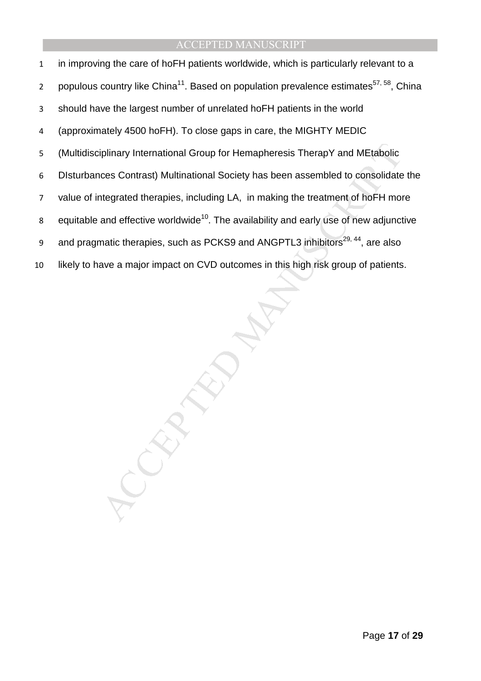iplinary International Group for Hemapheresis TherapY and MEtabolic<br>ces Contrast) Multinational Society has been assembled to consolidate<br>tregrated therapies, including LA, in making the treatment of hoFH moi<br>and effective in improving the care of hoFH patients worldwide, which is particularly relevant to a populous country like China<sup>11</sup>. Based on population prevalence estimates<sup>57, 58</sup>, China should have the largest number of unrelated hoFH patients in the world (approximately 4500 hoFH). To close gaps in care, the MIGHTY MEDIC (Multidisciplinary International Group for Hemapheresis TherapY and MEtabolic DIsturbances Contrast) Multinational Society has been assembled to consolidate the value of integrated therapies, including LA, in making the treatment of hoFH more 8 equitable and effective worldwide<sup>10</sup>. The availability and early use of new adjunctive and pragmatic therapies, such as PCKS9 and ANGPTL3 inhibitors<sup>29, 44</sup>, are also likely to have a major impact on CVD outcomes in this high risk group of patients.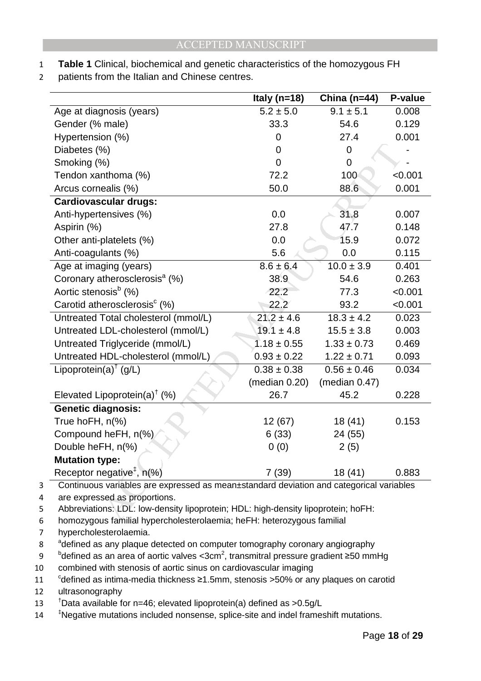- 1 **Table 1** Clinical, biochemical and genetic characteristics of the homozygous FH
- 2 patients from the Italian and Chinese centres.

| Italy ( $n=18$ ) | China ( $n=44$ ) | P-value                                                                                                                                                                                                                                                |
|------------------|------------------|--------------------------------------------------------------------------------------------------------------------------------------------------------------------------------------------------------------------------------------------------------|
| $5.2 \pm 5.0$    | $9.1 \pm 5.1$    | 0.008                                                                                                                                                                                                                                                  |
| 33.3             | 54.6             | 0.129                                                                                                                                                                                                                                                  |
| 0                | 27.4             | 0.001                                                                                                                                                                                                                                                  |
| 0                | 0                |                                                                                                                                                                                                                                                        |
| $\mathbf 0$      | 0                |                                                                                                                                                                                                                                                        |
| 72.2             | 100              | < 0.001                                                                                                                                                                                                                                                |
| 50.0             | 88.6             | 0.001                                                                                                                                                                                                                                                  |
|                  |                  |                                                                                                                                                                                                                                                        |
| 0.0              | 31.8             | 0.007                                                                                                                                                                                                                                                  |
| 27.8             | 47.7             | 0.148                                                                                                                                                                                                                                                  |
| 0.0              | 15.9             | 0.072                                                                                                                                                                                                                                                  |
| 5.6              | 0.0              | 0.115                                                                                                                                                                                                                                                  |
| $8.6 \pm 6.4$    | $10.0 \pm 3.9$   | 0.401                                                                                                                                                                                                                                                  |
| 38.9             | 54.6             | 0.263                                                                                                                                                                                                                                                  |
| 22.2             | 77.3             | < 0.001                                                                                                                                                                                                                                                |
| 22.2             | 93.2             | < 0.001                                                                                                                                                                                                                                                |
| $21.2 \pm 4.6$   | $18.3 \pm 4.2$   | 0.023                                                                                                                                                                                                                                                  |
| $19.1 \pm 4.8$   | $15.5 \pm 3.8$   | 0.003                                                                                                                                                                                                                                                  |
| $1.18 \pm 0.55$  | $1.33 \pm 0.73$  | 0.469                                                                                                                                                                                                                                                  |
| $0.93 \pm 0.22$  | $1.22 \pm 0.71$  | 0.093                                                                                                                                                                                                                                                  |
| $0.38 \pm 0.38$  | $0.56 \pm 0.46$  | 0.034                                                                                                                                                                                                                                                  |
| (median 0.20)    | (median $0.47$ ) |                                                                                                                                                                                                                                                        |
| 26.7             | 45.2             | 0.228                                                                                                                                                                                                                                                  |
|                  |                  |                                                                                                                                                                                                                                                        |
| 12 (67)          | 18 (41)          | 0.153                                                                                                                                                                                                                                                  |
| 6(33)            | 24 (55)          |                                                                                                                                                                                                                                                        |
| 0(0)             | 2(5)             |                                                                                                                                                                                                                                                        |
|                  |                  |                                                                                                                                                                                                                                                        |
| 7(39)            | 18 (41)          | 0.883                                                                                                                                                                                                                                                  |
|                  |                  |                                                                                                                                                                                                                                                        |
|                  |                  |                                                                                                                                                                                                                                                        |
|                  |                  |                                                                                                                                                                                                                                                        |
|                  |                  | Continuous variables are expressed as mean±standard deviation and categorical variables<br>Abbreviations: LDL: low-density lipoprotein; HDL: high-density lipoprotein; hoFH:<br>homozygous familial hypercholesterolaemia: heEH: heterozygous familial |

4 are expressed as proportions.

6 homozygous familial hypercholesterolaemia; heFH: heterozygous familial

7 hypercholesterolaemia.

8 defined as any plaque detected on computer tomography coronary angiography

9 bdefined as an area of aortic valves <3cm<sup>2</sup>, transmitral pressure gradient ≥50 mmHg

10 combined with stenosis of aortic sinus on cardiovascular imaging

11 <sup>c</sup>defined as intima-media thickness ≥1.5mm, stenosis >50% or any plaques on carotid

12 ultrasonography

13 <sup>t</sup>Data available for n=46; elevated lipoprotein(a) defined as >0.5g/L

14 <sup>‡</sup>Negative mutations included nonsense, splice-site and indel frameshift mutations.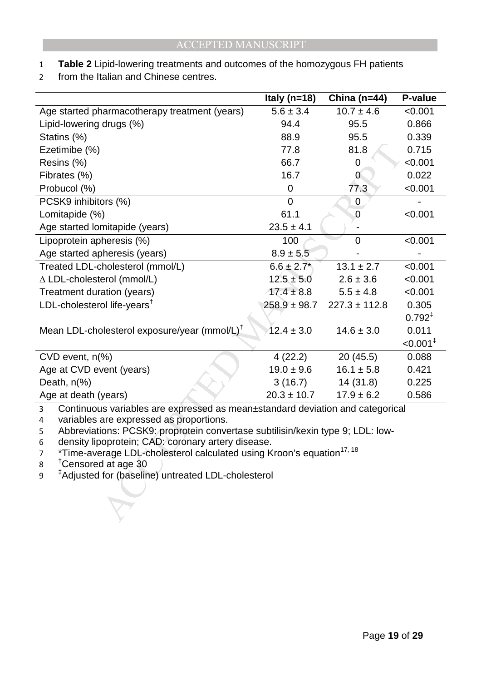- 1 **Table 2** Lipid-lowering treatments and outcomes of the homozygous FH patients
- 2 from the Italian and Chinese centres.

|                                                                                                                                                   | Italy ( $n=18$ ) | China ( $n=44$ )  | P-value                |
|---------------------------------------------------------------------------------------------------------------------------------------------------|------------------|-------------------|------------------------|
| Age started pharmacotherapy treatment (years)                                                                                                     | $5.6 \pm 3.4$    | $10.7 \pm 4.6$    | < 0.001                |
| Lipid-lowering drugs (%)                                                                                                                          | 94.4             | 95.5              | 0.866                  |
| Statins (%)                                                                                                                                       | 88.9             | 95.5              | 0.339                  |
| Ezetimibe (%)                                                                                                                                     | 77.8             | 81.8              | 0.715                  |
| Resins (%)                                                                                                                                        | 66.7             | 0                 | < 0.001                |
| Fibrates (%)                                                                                                                                      | 16.7             | $\overline{0}$    | 0.022                  |
| Probucol (%)                                                                                                                                      | $\mathbf 0$      | 77.3              | < 0.001                |
| PCSK9 inhibitors (%)                                                                                                                              | $\overline{0}$   | 0                 |                        |
| Lomitapide (%)                                                                                                                                    | 61.1             | 0                 | < 0.001                |
| Age started lomitapide (years)                                                                                                                    | $23.5 \pm 4.1$   |                   |                        |
| Lipoprotein apheresis (%)                                                                                                                         | 100              | $\overline{0}$    | < 0.001                |
| Age started apheresis (years)                                                                                                                     | $8.9 \pm 5.5$    |                   |                        |
| Treated LDL-cholesterol (mmol/L)                                                                                                                  | $6.6 \pm 2.7$ *  | $13.1 \pm 2.7$    | < 0.001                |
| $\triangle$ LDL-cholesterol (mmol/L)                                                                                                              | $12.5 \pm 5.0$   | $2.6 \pm 3.6$     | < 0.001                |
| Treatment duration (years)                                                                                                                        | $17.4 \pm 8.8$   | $5.5 \pm 4.8$     | < 0.001                |
| LDL-cholesterol life-years <sup>t</sup>                                                                                                           | $258.9 \pm 98.7$ | $227.3 \pm 112.8$ | 0.305                  |
|                                                                                                                                                   |                  |                   | $0.792^{+}$            |
| Mean LDL-cholesterol exposure/year (mmol/L) <sup>T</sup>                                                                                          | $12.4 \pm 3.0$   | $14.6 \pm 3.0$    | 0.011                  |
|                                                                                                                                                   |                  |                   | $< 0.001$ <sup>‡</sup> |
| $CVD$ event, $n\frac{9}{6}$                                                                                                                       | 4(22.2)          | 20(45.5)          | 0.088                  |
| Age at CVD event (years)                                                                                                                          | $19.0 \pm 9.6$   | $16.1 \pm 5.8$    | 0.421                  |
| Death, $n\frac{9}{6}$                                                                                                                             | 3(16.7)          | 14(31.8)          | 0.225                  |
| Age at death (years)                                                                                                                              | $20.3 \pm 10.7$  | $17.9 \pm 6.2$    | 0.586                  |
| $\overline{3}$<br>Continuous variables are expressed as mean±standard deviation and categorical                                                   |                  |                   |                        |
| variables are expressed as proportions.<br>4                                                                                                      |                  |                   |                        |
| Abbreviations: PCSK9: proprotein convertase subtilisin/kexin type 9; LDL: low-<br>5                                                               |                  |                   |                        |
| density lipoprotein; CAD: coronary artery disease.<br>6<br>*Time-average LDL-cholesterol calculated using Kroon's equation <sup>17, 18</sup><br>7 |                  |                   |                        |
| <sup>†</sup> Censored at age 30<br>8                                                                                                              |                  |                   |                        |
| <sup>‡</sup> Adjusted for (baseline) untreated LDL-cholesterol<br>9                                                                               |                  |                   |                        |
|                                                                                                                                                   |                  |                   |                        |
|                                                                                                                                                   |                  |                   |                        |
|                                                                                                                                                   |                  |                   |                        |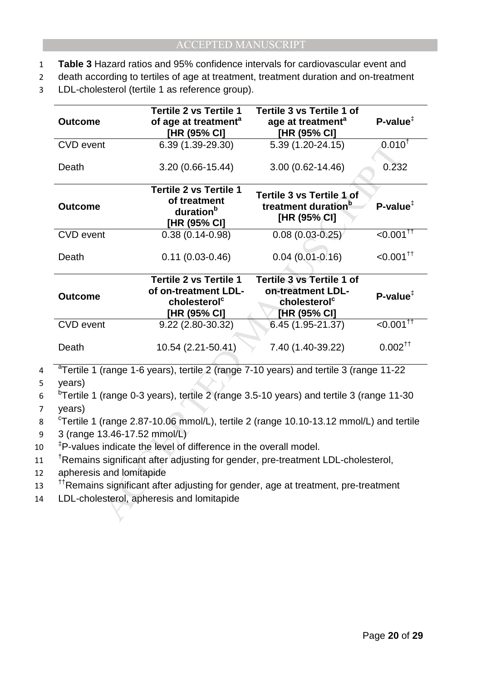- 1 **Table 3** Hazard ratios and 95% confidence intervals for cardiovascular event and
- 2 death according to tertiles of age at treatment, treatment duration and on-treatment
- 3 LDL-cholesterol (tertile 1 as reference group).

| <b>Outcome</b>                                                                                                                                                                                                                                                                                                              | <b>Tertile 2 vs Tertile 1</b><br>of age at treatment <sup>a</sup><br>[HR (95% CI]                 | Tertile 3 vs Tertile 1 of<br>age at treatment <sup>a</sup><br>[HR (95% CI]                        | $P-value^{\ddagger}$                 |
|-----------------------------------------------------------------------------------------------------------------------------------------------------------------------------------------------------------------------------------------------------------------------------------------------------------------------------|---------------------------------------------------------------------------------------------------|---------------------------------------------------------------------------------------------------|--------------------------------------|
| <b>CVD</b> event                                                                                                                                                                                                                                                                                                            | 6.39 (1.39-29.30)                                                                                 | 5.39 (1.20-24.15)                                                                                 | $0.010^{1}$                          |
| Death                                                                                                                                                                                                                                                                                                                       | 3.20 (0.66-15.44)                                                                                 | $3.00(0.62 - 14.46)$                                                                              | 0.232                                |
| <b>Outcome</b>                                                                                                                                                                                                                                                                                                              | <b>Tertile 2 vs Tertile 1</b><br>of treatment<br>duration <sup>b</sup><br>[HR (95% CI]            | Tertile 3 vs Tertile 1 of<br>treatment duration <sup>b</sup><br>[HR (95% CI]                      | $P$ -value <sup><math>‡</math></sup> |
| <b>CVD</b> event                                                                                                                                                                                                                                                                                                            | $0.38(0.14 - 0.98)$                                                                               | $0.08(0.03 - 0.25)$                                                                               | $< 0.001$ <sup>††</sup>              |
| Death                                                                                                                                                                                                                                                                                                                       | $0.11(0.03 - 0.46)$                                                                               | $0.04(0.01 - 0.16)$                                                                               | $< 0.001$ <sup>tt</sup>              |
| <b>Outcome</b>                                                                                                                                                                                                                                                                                                              | <b>Tertile 2 vs Tertile 1</b><br>of on-treatment LDL-<br>cholesterol <sup>c</sup><br>[HR (95% CI] | <b>Tertile 3 vs Tertile 1 of</b><br>on-treatment LDL-<br>cholesterol <sup>c</sup><br>[HR (95% CI] | $P-value^{\ddagger}$                 |
| <b>CVD</b> event                                                                                                                                                                                                                                                                                                            | 9.22 (2.80-30.32)                                                                                 | 6.45 (1.95-21.37)                                                                                 | $< 0.001$ <sup>††</sup>              |
| Death                                                                                                                                                                                                                                                                                                                       | 10.54 (2.21-50.41)                                                                                | 7.40 (1.40-39.22)                                                                                 | $0.002^{\dagger\dagger}$             |
| <sup>a</sup> Tertile 1 (range 1-6 years), tertile 2 (range 7-10 years) and tertile 3 (range 11-22<br>years)<br><sup>b</sup> Tertile 1 (range 0-3 years), tertile 2 (range 3.5-10 years) and tertile 3 (range 11-30                                                                                                          |                                                                                                   |                                                                                                   |                                      |
| years)<br><sup>c</sup> Tertile 1 (range 2.87-10.06 mmol/L), tertile 2 (range 10.10-13.12 mmol/L) and tertile<br>3 (range 13.46-17.52 mmol/L)<br><sup>‡</sup> P-values indicate the level of difference in the overall model.<br><sup>†</sup> Remains significant after adjusting for gender, pre-treatment LDL-cholesterol, |                                                                                                   |                                                                                                   |                                      |
| apheresis and lomitapide<br><sup>††</sup> Remains significant after adjusting for gender, age at treatment, pre-treatment<br>LDL-cholesterol, apheresis and lomitapide                                                                                                                                                      |                                                                                                   |                                                                                                   |                                      |

9 3 (range 13.46-17.52 mmol/L)

10 <sup>‡</sup>P-values indicate the level of difference in the overall model.

- 11 <sup>t</sup>Remains significant after adjusting for gender, pre-treatment LDL-cholesterol,
- 12 apheresis and lomitapide
- <sup>11</sup> Remains significant after adjusting for gender, age at treatment, pre-treatment
- 14 LDL-cholesterol, apheresis and lomitapide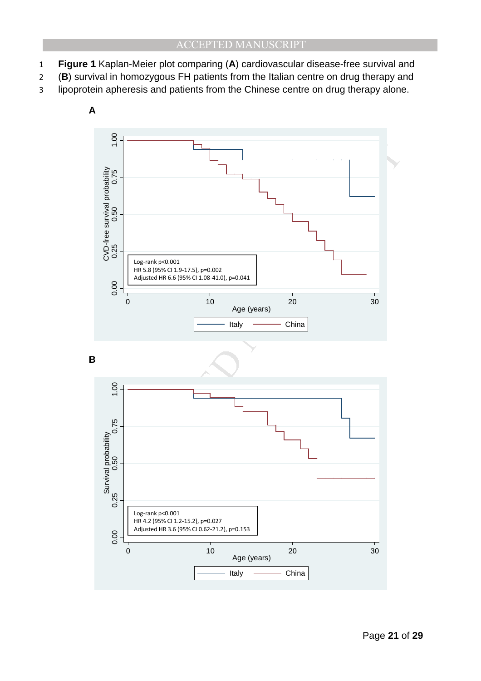- 1 **Figure 1** Kaplan-Meier plot comparing (**A**) cardiovascular disease-free survival and
- 2 (**B**) survival in homozygous FH patients from the Italian centre on drug therapy and
- 3 lipoprotein apheresis and patients from the Chinese centre on drug therapy alone.

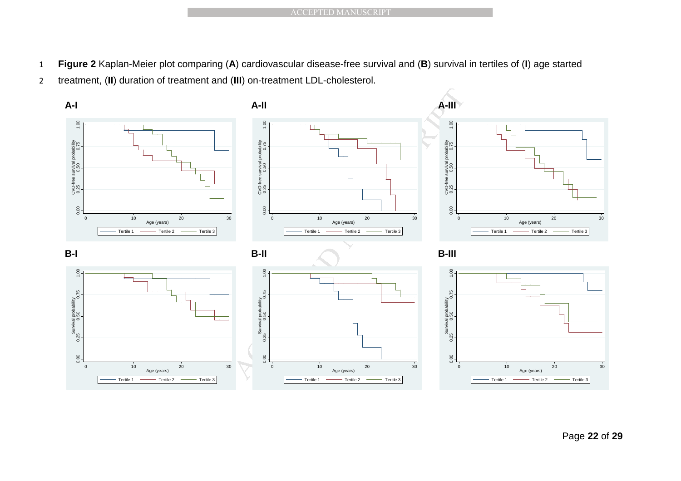- 1 **Figure 2** Kaplan-Meier plot comparing (**A**) cardiovascular disease-free survival and (**B**) survival in tertiles of (**I**) age started
- 2 treatment, (**II**) duration of treatment and (**III**) on-treatment LDL-cholesterol.

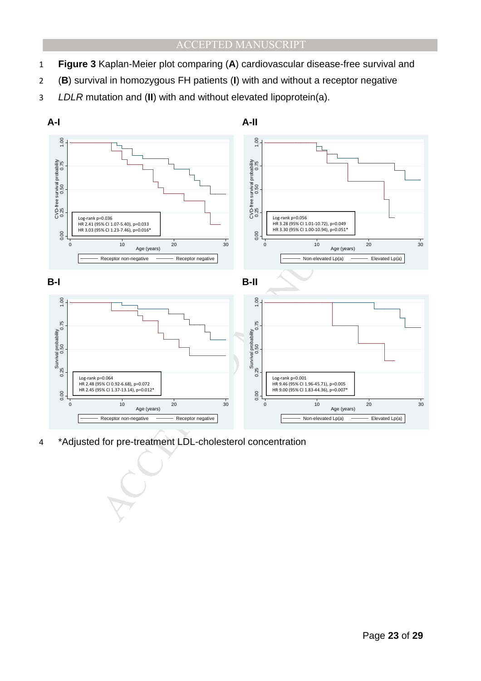- 1 **Figure 3** Kaplan-Meier plot comparing (**A**) cardiovascular disease-free survival and
- 2 (**B**) survival in homozygous FH patients (**I**) with and without a receptor negative
- 3 LDLR mutation and (**II**) with and without elevated lipoprotein(a).

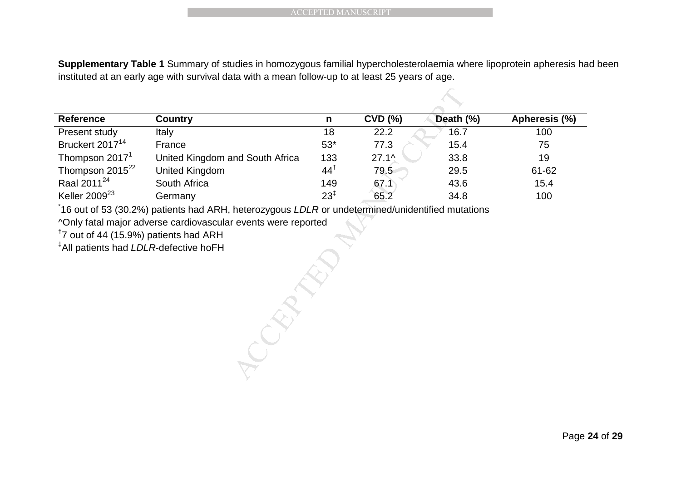**Supplementary Table 1** Summary of studies in homozygous familial hypercholesterolaemia where lipoprotein apheresis had been instituted at an early age with survival data with a mean follow-up to at least 25 years of age.

|                                                   |                                                                                                                      | <b>ACCEPTED MANUSCRIPT</b> |              |           |               |
|---------------------------------------------------|----------------------------------------------------------------------------------------------------------------------|----------------------------|--------------|-----------|---------------|
|                                                   |                                                                                                                      |                            |              |           |               |
|                                                   |                                                                                                                      |                            |              |           |               |
|                                                   | Supplementary Table 1 Summary of studies in homozygous familial hypercholesterolaemia where lipoprotein apheresis ha |                            |              |           |               |
|                                                   | instituted at an early age with survival data with a mean follow-up to at least 25 years of age.                     |                            |              |           |               |
|                                                   |                                                                                                                      |                            |              |           |               |
| <b>Reference</b>                                  | <b>Country</b>                                                                                                       | $\mathsf{n}$               | $CVD$ $(\%)$ | Death (%) | Apheresis (%) |
| Present study                                     | Italy                                                                                                                | 18                         | 22.2         | 16.7      | 100           |
| Bruckert 2017 <sup>14</sup>                       | France                                                                                                               | $53*$                      | 77.3         | 15.4      | 75            |
| Thompson 2017 <sup>1</sup>                        | United Kingdom and South Africa                                                                                      | 133                        | $27.1\%$     | 33.8      | 19            |
| Thompson 2015 <sup>22</sup>                       | <b>United Kingdom</b>                                                                                                | $44^{\dagger}$             | 79.5         | 29.5      | 61-62         |
| Raal 2011 <sup>24</sup>                           | South Africa                                                                                                         | 149                        | 67.1         | 43.6      | 15.4          |
| Keller 2009 <sup>23</sup>                         | Germany                                                                                                              | $23^{1}$                   | 65.2         | 34.8      | 100           |
|                                                   | 16 out of 53 (30.2%) patients had ARH, heterozygous LDLR or undetermined/unidentified mutations                      |                            |              |           |               |
|                                                   | ^Only fatal major adverse cardiovascular events were reported                                                        |                            |              |           |               |
| <sup>1</sup> 7 out of 44 (15.9%) patients had ARH |                                                                                                                      |                            |              |           |               |
| <sup>‡</sup> All patients had LDLR-defective hoFH |                                                                                                                      |                            |              |           |               |
|                                                   |                                                                                                                      |                            |              |           |               |
|                                                   |                                                                                                                      |                            |              |           |               |
|                                                   |                                                                                                                      |                            |              |           |               |
|                                                   |                                                                                                                      |                            |              |           |               |
|                                                   |                                                                                                                      |                            |              |           |               |
|                                                   |                                                                                                                      |                            |              |           |               |
|                                                   |                                                                                                                      |                            |              |           |               |
|                                                   |                                                                                                                      |                            |              |           |               |
|                                                   |                                                                                                                      |                            |              |           |               |
|                                                   |                                                                                                                      |                            |              |           |               |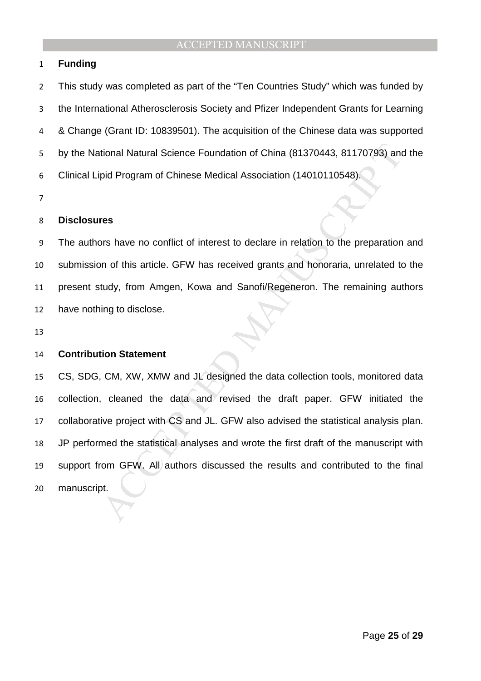#### **Funding**

This study was completed as part of the "Ten Countries Study" which was funded by the International Atherosclerosis Society and Pfizer Independent Grants for Learning & Change (Grant ID: 10839501). The acquisition of the Chinese data was supported by the National Natural Science Foundation of China (81370443, 81170793) and the Clinical Lipid Program of Chinese Medical Association (14010110548).

#### **Disclosures**

The authors have no conflict of interest to declare in relation to the preparation and submission of this article. GFW has received grants and honoraria, unrelated to the present study, from Amgen, Kowa and Sanofi/Regeneron. The remaining authors have nothing to disclose.

#### **Contribution Statement**

tional Natural Science Foundation of China (81370443, 81170793) and<br>pid Program of Chinese Medical Association (14010110548).<br>These source are no conflict of interest to declare in relation to the preparation<br>point of this CS, SDG, CM, XW, XMW and JL designed the data collection tools, monitored data collection, cleaned the data and revised the draft paper. GFW initiated the collaborative project with CS and JL. GFW also advised the statistical analysis plan. JP performed the statistical analyses and wrote the first draft of the manuscript with support from GFW. All authors discussed the results and contributed to the final manuscript.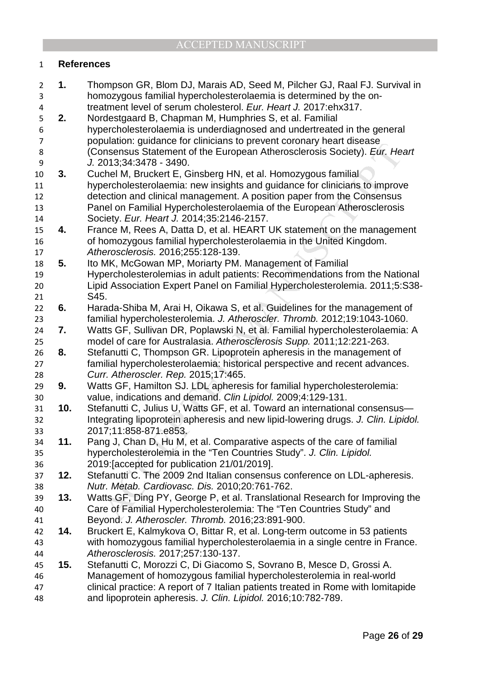## **References**

bandoni, guadare of values and demands to proven convert convert considers. Ever, the considered for the European Athensederosis Society). *Eur, He* 2013;34:3478 - 3490.<br>
the the H, Buckert E, Ginsberg HN, et al. Homozygou **1.** Thompson GR, Blom DJ, Marais AD, Seed M, Pilcher GJ, Raal FJ. Survival in homozygous familial hypercholesterolaemia is determined by the on-treatment level of serum cholesterol. Eur. Heart J. 2017:ehx317. **2.** Nordestgaard B, Chapman M, Humphries S, et al. Familial hypercholesterolaemia is underdiagnosed and undertreated in the general population: guidance for clinicians to prevent coronary heart disease (Consensus Statement of the European Atherosclerosis Society). Eur. Heart J. 2013;34:3478 - 3490. **3.** Cuchel M, Bruckert E, Ginsberg HN, et al. Homozygous familial hypercholesterolaemia: new insights and guidance for clinicians to improve detection and clinical management. A position paper from the Consensus Panel on Familial Hypercholesterolaemia of the European Atherosclerosis Society. Eur. Heart J. 2014;35:2146-2157. **4.** France M, Rees A, Datta D, et al. HEART UK statement on the management of homozygous familial hypercholesterolaemia in the United Kingdom. Atherosclerosis. 2016;255:128-139. **5.** Ito MK, McGowan MP, Moriarty PM. Management of Familial Hypercholesterolemias in adult patients: Recommendations from the National Lipid Association Expert Panel on Familial Hypercholesterolemia. 2011;5:S38- S45. **6.** Harada-Shiba M, Arai H, Oikawa S, et al. Guidelines for the management of familial hypercholesterolemia. J. Atheroscler. Thromb. 2012;19:1043-1060. **7.** Watts GF, Sullivan DR, Poplawski N, et al. Familial hypercholesterolaemia: A model of care for Australasia. Atherosclerosis Supp. 2011;12:221-263. **8.** Stefanutti C, Thompson GR. Lipoprotein apheresis in the management of familial hypercholesterolaemia: historical perspective and recent advances. Curr. Atheroscler. Rep. 2015;17:465. **9.** Watts GF, Hamilton SJ. LDL apheresis for familial hypercholesterolemia: value, indications and demand. Clin Lipidol. 2009;4:129-131. **10.** Stefanutti C, Julius U, Watts GF, et al. Toward an international consensus— Integrating lipoprotein apheresis and new lipid-lowering drugs. J. Clin. Lipidol. 2017;11:858-871.e853. **11.** Pang J, Chan D, Hu M, et al. Comparative aspects of the care of familial hypercholesterolemia in the "Ten Countries Study". J. Clin. Lipidol. 2019:[accepted for publication 21/01/2019]. **12.** Stefanutti C. The 2009 2nd Italian consensus conference on LDL-apheresis. Nutr. Metab. Cardiovasc. Dis. 2010;20:761-762. **13.** Watts GF, Ding PY, George P, et al. Translational Research for Improving the Care of Familial Hypercholesterolemia: The "Ten Countries Study" and Beyond. J. Atheroscler. Thromb. 2016;23:891-900. **14.** Bruckert E, Kalmykova O, Bittar R, et al. Long-term outcome in 53 patients with homozygous familial hypercholesterolaemia in a single centre in France. Atherosclerosis. 2017;257:130-137. **15.** Stefanutti C, Morozzi C, Di Giacomo S, Sovrano B, Mesce D, Grossi A. Management of homozygous familial hypercholesterolemia in real-world clinical practice: A report of 7 Italian patients treated in Rome with lomitapide and lipoprotein apheresis. J. Clin. Lipidol. 2016;10:782-789.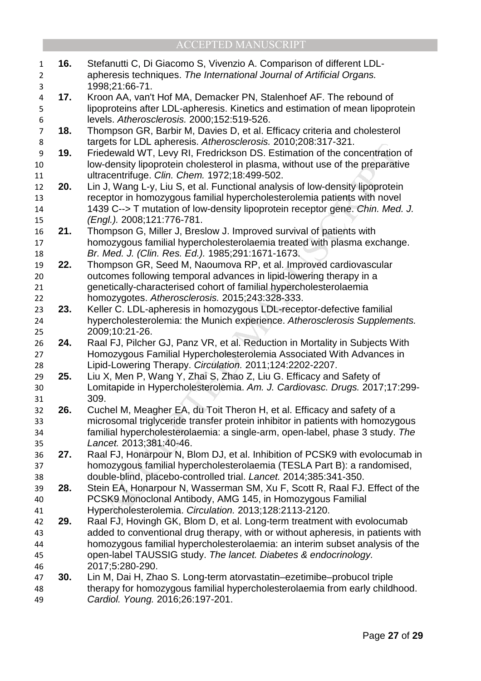| $\mathbf{1}$     | 16. | Stefanutti C, Di Giacomo S, Vivenzio A. Comparison of different LDL-                                                                                 |
|------------------|-----|------------------------------------------------------------------------------------------------------------------------------------------------------|
| $\overline{2}$   |     | apheresis techniques. The International Journal of Artificial Organs.                                                                                |
| 3                |     | 1998;21:66-71.                                                                                                                                       |
| $\overline{a}$   | 17. | Kroon AA, van't Hof MA, Demacker PN, Stalenhoef AF. The rebound of                                                                                   |
| 5                |     | lipoproteins after LDL-apheresis. Kinetics and estimation of mean lipoprotein                                                                        |
| 6                |     | levels. Atherosclerosis. 2000;152:519-526.                                                                                                           |
| $\overline{7}$   | 18. | Thompson GR, Barbir M, Davies D, et al. Efficacy criteria and cholesterol                                                                            |
| 8                |     | targets for LDL apheresis. Atherosclerosis. 2010;208:317-321.                                                                                        |
| $\boldsymbol{9}$ | 19. | Friedewald WT, Levy RI, Fredrickson DS. Estimation of the concentration of                                                                           |
| 10               |     | low-density lipoprotein cholesterol in plasma, without use of the preparative                                                                        |
| 11               |     | ultracentrifuge. Clin. Chem. 1972;18:499-502.                                                                                                        |
| 12               | 20. | Lin J, Wang L-y, Liu S, et al. Functional analysis of low-density lipoprotein                                                                        |
| 13               |     | receptor in homozygous familial hypercholesterolemia patients with novel                                                                             |
| 14               |     | 1439 C--> T mutation of low-density lipoprotein receptor gene. Chin. Med. J.                                                                         |
| 15               |     | (Engl.). 2008;121:776-781.                                                                                                                           |
| 16               | 21. | Thompson G, Miller J, Breslow J. Improved survival of patients with                                                                                  |
| 17               |     | homozygous familial hypercholesterolaemia treated with plasma exchange.                                                                              |
| 18               |     | Br. Med. J. (Clin. Res. Ed.). 1985;291:1671-1673.                                                                                                    |
| 19               | 22. | Thompson GR, Seed M, Naoumova RP, et al. Improved cardiovascular                                                                                     |
| 20               |     | outcomes following temporal advances in lipid-lowering therapy in a                                                                                  |
| 21               |     | genetically-characterised cohort of familial hypercholesterolaemia                                                                                   |
| 22               |     | homozygotes. Atherosclerosis. 2015;243:328-333.                                                                                                      |
| 23               | 23. | Keller C. LDL-apheresis in homozygous LDL-receptor-defective familial                                                                                |
| 24               |     | hypercholesterolemia: the Munich experience. Atherosclerosis Supplements.                                                                            |
| 25               |     | 2009;10:21-26.                                                                                                                                       |
| 26               | 24. | Raal FJ, Pilcher GJ, Panz VR, et al. Reduction in Mortality in Subjects With<br>Homozygous Familial Hypercholesterolemia Associated With Advances in |
| 27<br>28         |     | Lipid-Lowering Therapy. Circulation. 2011;124:2202-2207.                                                                                             |
| 29               | 25. | Liu X, Men P, Wang Y, Zhai S, Zhao Z, Liu G. Efficacy and Safety of                                                                                  |
| 30               |     | Lomitapide in Hypercholesterolemia. Am. J. Cardiovasc. Drugs. 2017;17:299-                                                                           |
| 31               |     | 309.                                                                                                                                                 |
| 32               | 26. | Cuchel M, Meagher EA, du Toit Theron H, et al. Efficacy and safety of a                                                                              |
| 33               |     | microsomal triglyceride transfer protein inhibitor in patients with homozygous                                                                       |
| 34               |     | familial hypercholesterolaemia: a single-arm, open-label, phase 3 study. The                                                                         |
| 35               |     | Lancet. 2013;381:40-46.                                                                                                                              |
| 36               | 27. | Raal FJ, Honarpour N, Blom DJ, et al. Inhibition of PCSK9 with evolocumab in                                                                         |
| 37               |     | homozygous familial hypercholesterolaemia (TESLA Part B): a randomised,                                                                              |
| 38               |     | double-blind, placebo-controlled trial. Lancet. 2014;385:341-350.                                                                                    |
| 39               | 28. | Stein EA, Honarpour N, Wasserman SM, Xu F, Scott R, Raal FJ. Effect of the                                                                           |
| 40               |     | PCSK9 Monoclonal Antibody, AMG 145, in Homozygous Familial                                                                                           |
| 41               |     | Hypercholesterolemia. Circulation. 2013;128:2113-2120.                                                                                               |
| 42               | 29. | Raal FJ, Hovingh GK, Blom D, et al. Long-term treatment with evolocumab                                                                              |
| 43               |     | added to conventional drug therapy, with or without apheresis, in patients with                                                                      |
| 44               |     | homozygous familial hypercholesterolaemia: an interim subset analysis of the                                                                         |
| 45               |     | open-label TAUSSIG study. The lancet. Diabetes & endocrinology.                                                                                      |
| 46               |     | 2017;5:280-290.                                                                                                                                      |
| 47               | 30. | Lin M, Dai H, Zhao S. Long-term atorvastatin-ezetimibe-probucol triple                                                                               |
| 48               |     | therapy for homozygous familial hypercholesterolaemia from early childhood.                                                                          |
| 49               |     | Cardiol. Young. 2016;26:197-201.                                                                                                                     |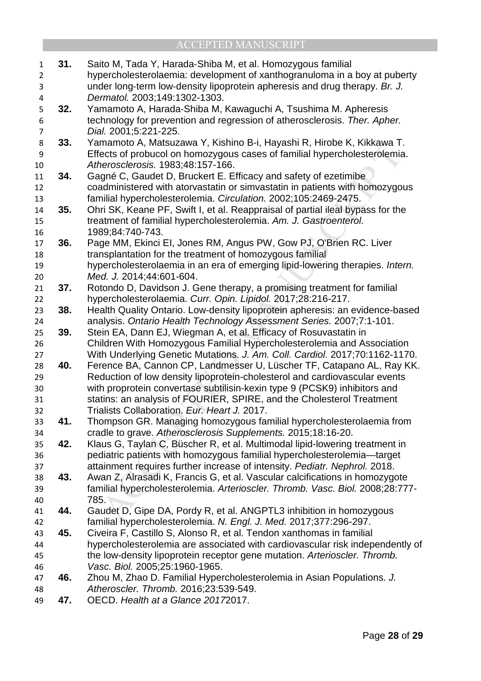| $\mathbf{1}$     | 31. | Saito M, Tada Y, Harada-Shiba M, et al. Homozygous familial                                                                                 |
|------------------|-----|---------------------------------------------------------------------------------------------------------------------------------------------|
| $\overline{2}$   |     | hypercholesterolaemia: development of xanthogranuloma in a boy at puberty                                                                   |
| 3                |     | under long-term low-density lipoprotein apheresis and drug therapy. Br. J.                                                                  |
| 4                |     | Dermatol. 2003;149:1302-1303.                                                                                                               |
| 5                | 32. | Yamamoto A, Harada-Shiba M, Kawaguchi A, Tsushima M. Apheresis                                                                              |
| 6                |     | technology for prevention and regression of atherosclerosis. Ther. Apher.                                                                   |
| $\overline{7}$   |     | Dial. 2001;5:221-225.                                                                                                                       |
| 8                | 33. | Yamamoto A, Matsuzawa Y, Kishino B-i, Hayashi R, Hirobe K, Kikkawa T.                                                                       |
| $\boldsymbol{9}$ |     | Effects of probucol on homozygous cases of familial hypercholesterolemia.                                                                   |
| 10               |     | Atherosclerosis. 1983;48:157-166.                                                                                                           |
| 11               | 34. | Gagné C, Gaudet D, Bruckert E. Efficacy and safety of ezetimibe                                                                             |
| 12               |     | coadministered with atorvastatin or simvastatin in patients with homozygous                                                                 |
| 13               |     | familial hypercholesterolemia. Circulation. 2002;105:2469-2475.                                                                             |
| 14               | 35. | Ohri SK, Keane PF, Swift I, et al. Reappraisal of partial ileal bypass for the                                                              |
| 15               |     | treatment of familial hypercholesterolemia. Am. J. Gastroenterol.                                                                           |
| 16               |     | 1989;84:740-743.                                                                                                                            |
| 17               | 36. | Page MM, Ekinci EI, Jones RM, Angus PW, Gow PJ, O'Brien RC. Liver                                                                           |
| 18               |     | transplantation for the treatment of homozygous familial                                                                                    |
| 19               |     | hypercholesterolaemia in an era of emerging lipid-lowering therapies. Intern.                                                               |
| 20               |     | Med. J. 2014;44:601-604.                                                                                                                    |
| 21               | 37. | Rotondo D, Davidson J. Gene therapy, a promising treatment for familial                                                                     |
| 22               |     | hypercholesterolaemia. Curr. Opin. Lipidol. 2017;28:216-217.                                                                                |
| 23               | 38. | Health Quality Ontario. Low-density lipoprotein apheresis: an evidence-based                                                                |
| 24               |     | analysis. Ontario Health Technology Assessment Series. 2007;7:1-101.                                                                        |
| 25               | 39. | Stein EA, Dann EJ, Wiegman A, et al. Efficacy of Rosuvastatin in                                                                            |
| 26               |     | Children With Homozygous Familial Hypercholesterolemia and Association                                                                      |
| 27               |     | With Underlying Genetic Mutations. J. Am. Coll. Cardiol. 2017;70:1162-1170.                                                                 |
| 28               | 40. | Ference BA, Cannon CP, Landmesser U, Lüscher TF, Catapano AL, Ray KK.                                                                       |
| 29               |     | Reduction of low density lipoprotein-cholesterol and cardiovascular events                                                                  |
| 30               |     | with proprotein convertase subtilisin-kexin type 9 (PCSK9) inhibitors and                                                                   |
| 31               |     | statins: an analysis of FOURIER, SPIRE, and the Cholesterol Treatment                                                                       |
| 32               |     | Trialists Collaboration. Eur. Heart J. 2017.                                                                                                |
| 33               | 41. | Thompson GR. Managing homozygous familial hypercholesterolaemia from                                                                        |
| 34<br>35         | 42. | cradle to grave. Atherosclerosis Supplements. 2015;18:16-20.<br>Klaus G, Taylan C, Büscher R, et al. Multimodal lipid-lowering treatment in |
| 36               |     | pediatric patients with homozygous familial hypercholesterolemia-target                                                                     |
| 37               |     | attainment requires further increase of intensity. Pediatr. Nephrol. 2018.                                                                  |
| 38               | 43. | Awan Z, Alrasadi K, Francis G, et al. Vascular calcifications in homozygote                                                                 |
| 39               |     | familial hypercholesterolemia. Arterioscler. Thromb. Vasc. Biol. 2008;28:777-                                                               |
| 40               |     | 785.                                                                                                                                        |
| 41               | 44. | Gaudet D, Gipe DA, Pordy R, et al. ANGPTL3 inhibition in homozygous                                                                         |
| 42               |     | familial hypercholesterolemia. N. Engl. J. Med. 2017;377:296-297.                                                                           |
| 43               | 45. | Civeira F, Castillo S, Alonso R, et al. Tendon xanthomas in familial                                                                        |
| 44               |     | hypercholesterolemia are associated with cardiovascular risk independently of                                                               |
| 45               |     | the low-density lipoprotein receptor gene mutation. Arterioscler. Thromb.                                                                   |
| 46               |     | Vasc. Biol. 2005;25:1960-1965.                                                                                                              |
| 47               | 46. | Zhou M, Zhao D. Familial Hypercholesterolemia in Asian Populations. J.                                                                      |
| 48               |     | Atheroscler. Thromb. 2016;23:539-549.                                                                                                       |
| 49               | 47. | OECD. Health at a Glance 20172017.                                                                                                          |
|                  |     |                                                                                                                                             |